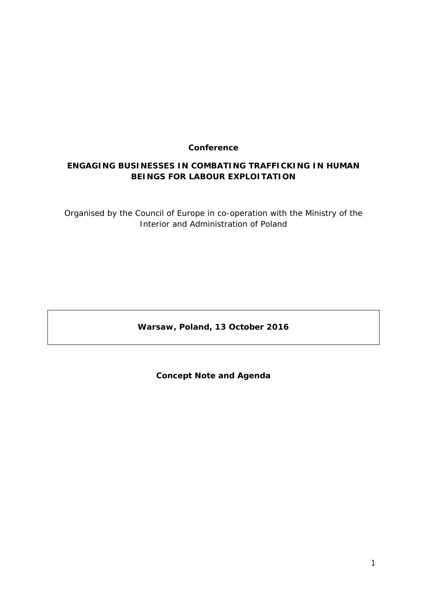## **Conference**

# **ENGAGING BUSINESSES IN COMBATING TRAFFICKING IN HUMAN BEINGS FOR LABOUR EXPLOITATION**

Organised by the Council of Europe in co-operation with the Ministry of the Interior and Administration of Poland

**Warsaw, Poland, 13 October 2016**

**Concept Note and Agenda**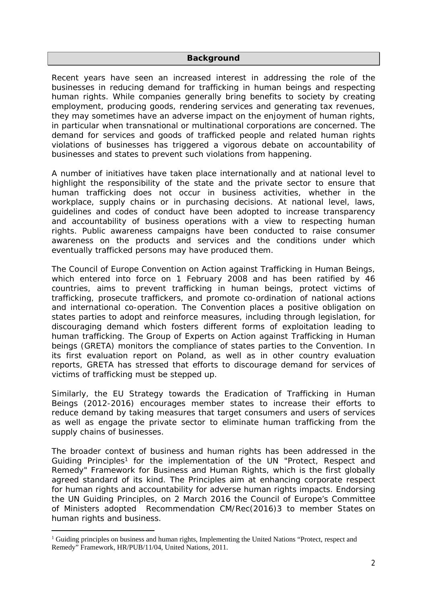#### **Background**

Recent years have seen an increased interest in addressing the role of the businesses in reducing demand for trafficking in human beings and respecting human rights. While companies generally bring benefits to society by creating employment, producing goods, rendering services and generating tax revenues, they may sometimes have an adverse impact on the enjoyment of human rights, in particular when transnational or multinational corporations are concerned. The demand for services and goods of trafficked people and related human rights violations of businesses has triggered a vigorous debate on accountability of businesses and states to prevent such violations from happening.

A number of initiatives have taken place internationally and at national level to highlight the responsibility of the state and the private sector to ensure that human trafficking does not occur in business activities, whether in the workplace, supply chains or in purchasing decisions. At national level, laws, guidelines and codes of conduct have been adopted to increase transparency and accountability of business operations with a view to respecting human rights. Public awareness campaigns have been conducted to raise consumer awareness on the products and services and the conditions under which eventually trafficked persons may have produced them.

The Council of Europe Convention on Action against Trafficking in Human Beings, which entered into force on 1 February 2008 and has been ratified by 46 countries, aims to prevent trafficking in human beings, protect victims of trafficking, prosecute traffickers, and promote co-ordination of national actions and international co-operation. The Convention places a positive obligation on states parties to adopt and reinforce measures, including through legislation, for discouraging demand which fosters different forms of exploitation leading to human trafficking. The Group of Experts on Action against Trafficking in Human beings (GRETA) monitors the compliance of states parties to the Convention. In its first evaluation report on Poland, as well as in other country evaluation reports, GRETA has stressed that efforts to discourage demand for services of victims of trafficking must be stepped up.

Similarly, the EU Strategy towards the Eradication of Trafficking in Human Beings (2012-2016) encourages member states to increase their efforts to reduce demand by taking measures that target consumers and users of services as well as engage the private sector to eliminate human trafficking from the supply chains of businesses.

The broader context of business and human rights has been addressed in the Guiding Principles<sup>1</sup> for the implementation of the UN "Protect, Respect and Remedy" Framework for Business and Human Rights, which is the first globally agreed standard of its kind. The Principles aim at enhancing corporate respect for human rights and accountability for adverse human rights impacts. Endorsing the UN Guiding Principles, on 2 March 2016 the Council of Europe's Committee of Ministers adopted Recommendation CM/Rec(2016)3 to member States on human rights and business.

<sup>1</sup> Guiding principles on business and human rights, Implementing the United Nations "Protect, respect and Remedy" Framework, HR/PUB/11/04, United Nations, 2011.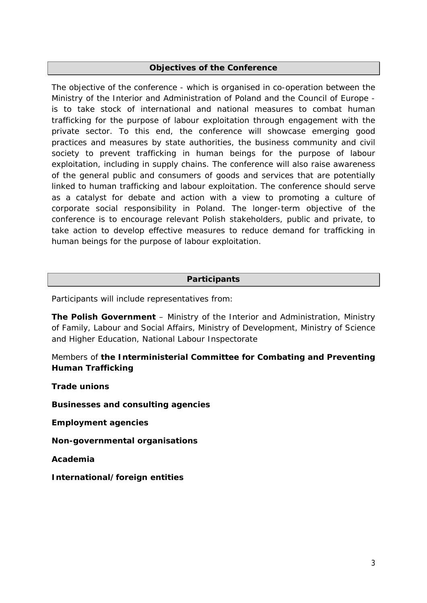## **Objectives of the Conference**

The objective of the conference - which is organised in co-operation between the Ministry of the Interior and Administration of Poland and the Council of Europe is to take stock of international and national measures to combat human trafficking for the purpose of labour exploitation through engagement with the private sector. To this end, the conference will showcase emerging good practices and measures by state authorities, the business community and civil society to prevent trafficking in human beings for the purpose of labour exploitation, including in supply chains. The conference will also raise awareness of the general public and consumers of goods and services that are potentially linked to human trafficking and labour exploitation. The conference should serve as a catalyst for debate and action with a view to promoting a culture of corporate social responsibility in Poland. The longer-term objective of the conference is to encourage relevant Polish stakeholders, public and private, to take action to develop effective measures to reduce demand for trafficking in human beings for the purpose of labour exploitation.

### **Participants**

Participants will include representatives from:

**The Polish Government** – Ministry of the Interior and Administration, Ministry of Family, Labour and Social Affairs, Ministry of Development, Ministry of Science and Higher Education, National Labour Inspectorate

Members of **the Interministerial Committee for Combating and Preventing Human Trafficking**

**Trade unions**

**Businesses and consulting agencies**

**Employment agencies**

**Non-governmental organisations**

**Academia**

**International/foreign entities**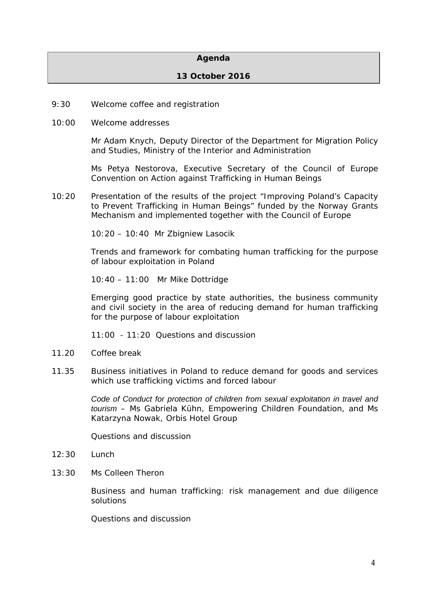#### **Agenda**

#### **13 October 2016**

- 9:30 Welcome coffee and registration
- 10:00 Welcome addresses

Mr Adam Knych, Deputy Director of the Department for Migration Policy and Studies, Ministry of the Interior and Administration

Ms Petya Nestorova, Executive Secretary of the Council of Europe Convention on Action against Trafficking in Human Beings

10:20 Presentation of the results of the project "Improving Poland's Capacity to Prevent Trafficking in Human Beings" funded by the Norway Grants Mechanism and implemented together with the Council of Europe

10:20 – 10:40 Mr Zbigniew Lasocik

Trends and framework for combating human trafficking for the purpose of labour exploitation in Poland

10:40 – 11:00 Mr Mike Dottridge

Emerging good practice by state authorities, the business community and civil society in the area of reducing demand for human trafficking for the purpose of labour exploitation

11:00 - 11:20 Questions and discussion

- 11.20 Coffee break
- 11.35 Business initiatives in Poland to reduce demand for goods and services which use trafficking victims and forced labour

*Code of Conduct for protection of children from sexual exploitation in travel and tourism* – Ms Gabriela Kühn, Empowering Children Foundation, and Ms Katarzyna Nowak, Orbis Hotel Group

Questions and discussion

- 12:30 Lunch
- 13:30 Ms Colleen Theron

Business and human trafficking: risk management and due diligence solutions

Questions and discussion